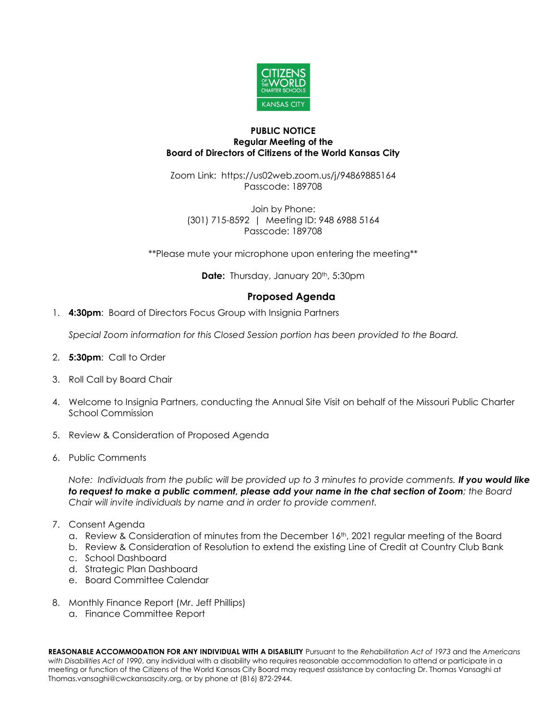

## **PUBLIC NOTICE Regular Meeting of the Board of Directors of Citizens of the World Kansas City**

Zoom Link: https://us02web.zoom.us/j/94869885164 Passcode: 189708

Join by Phone: (301) 715-8592 | Meeting ID: 948 6988 5164 Passcode: 189708

\*\*Please mute your microphone upon entering the meeting\*\*

**Date:** Thursday, January 20<sup>th</sup>, 5:30pm

## **Proposed Agenda**

1. **4:30pm**: Board of Directors Focus Group with Insignia Partners

*Special Zoom information for this Closed Session portion has been provided to the Board.*

- 2. **5:30pm**: Call to Order
- 3. Roll Call by Board Chair
- 4. Welcome to Insignia Partners, conducting the Annual Site Visit on behalf of the Missouri Public Charter School Commission
- 5. Review & Consideration of Proposed Agenda
- 6. Public Comments

*Note: Individuals from the public will be provided up to 3 minutes to provide comments. If you would like to request to make a public comment, please add your name in the chat section of Zoom; the Board Chair will invite individuals by name and in order to provide comment.*

- 7. Consent Agenda
	- a. Review & Consideration of minutes from the December 16th, 2021 regular meeting of the Board
	- b. Review & Consideration of Resolution to extend the existing Line of Credit at Country Club Bank
	- c. School Dashboard
	- d. Strategic Plan Dashboard
	- e. Board Committee Calendar
- 8. Monthly Finance Report (Mr. Jeff Phillips)
	- a. Finance Committee Report

**REASONABLE ACCOMMODATION FOR ANY INDIVIDUAL WITH A DISABILITY** Pursuant to the *Rehabilitation Act of 1973* and the *Americans with Disabilities Act of 1990*, any individual with a disability who requires reasonable accommodation to attend or participate in a meeting or function of the Citizens of the World Kansas City Board may request assistance by contacting Dr. Thomas Vansaghi at Thomas.vansaghi@cwckansascity.org, or by phone at (816) 872-2944.